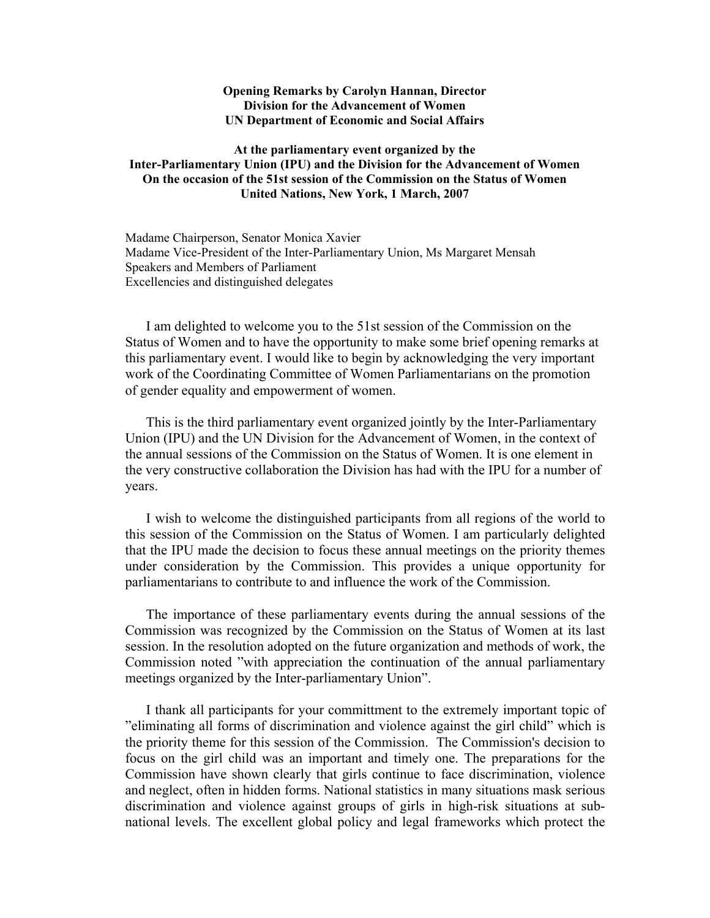## **Opening Remarks by Carolyn Hannan, Director Division for the Advancement of Women UN Department of Economic and Social Affairs**

## **At the parliamentary event organized by the Inter-Parliamentary Union (IPU) and the Division for the Advancement of Women On the occasion of the 51st session of the Commission on the Status of Women United Nations, New York, 1 March, 2007**

Madame Chairperson, Senator Monica Xavier Madame Vice-President of the Inter-Parliamentary Union, Ms Margaret Mensah Speakers and Members of Parliament Excellencies and distinguished delegates

I am delighted to welcome you to the 51st session of the Commission on the Status of Women and to have the opportunity to make some brief opening remarks at this parliamentary event. I would like to begin by acknowledging the very important work of the Coordinating Committee of Women Parliamentarians on the promotion of gender equality and empowerment of women.

This is the third parliamentary event organized jointly by the Inter-Parliamentary Union (IPU) and the UN Division for the Advancement of Women, in the context of the annual sessions of the Commission on the Status of Women. It is one element in the very constructive collaboration the Division has had with the IPU for a number of years.

I wish to welcome the distinguished participants from all regions of the world to this session of the Commission on the Status of Women. I am particularly delighted that the IPU made the decision to focus these annual meetings on the priority themes under consideration by the Commission. This provides a unique opportunity for parliamentarians to contribute to and influence the work of the Commission.

The importance of these parliamentary events during the annual sessions of the Commission was recognized by the Commission on the Status of Women at its last session. In the resolution adopted on the future organization and methods of work, the Commission noted "with appreciation the continuation of the annual parliamentary meetings organized by the Inter-parliamentary Union".

I thank all participants for your committment to the extremely important topic of "eliminating all forms of discrimination and violence against the girl child" which is the priority theme for this session of the Commission. The Commission's decision to focus on the girl child was an important and timely one. The preparations for the Commission have shown clearly that girls continue to face discrimination, violence and neglect, often in hidden forms. National statistics in many situations mask serious discrimination and violence against groups of girls in high-risk situations at subnational levels. The excellent global policy and legal frameworks which protect the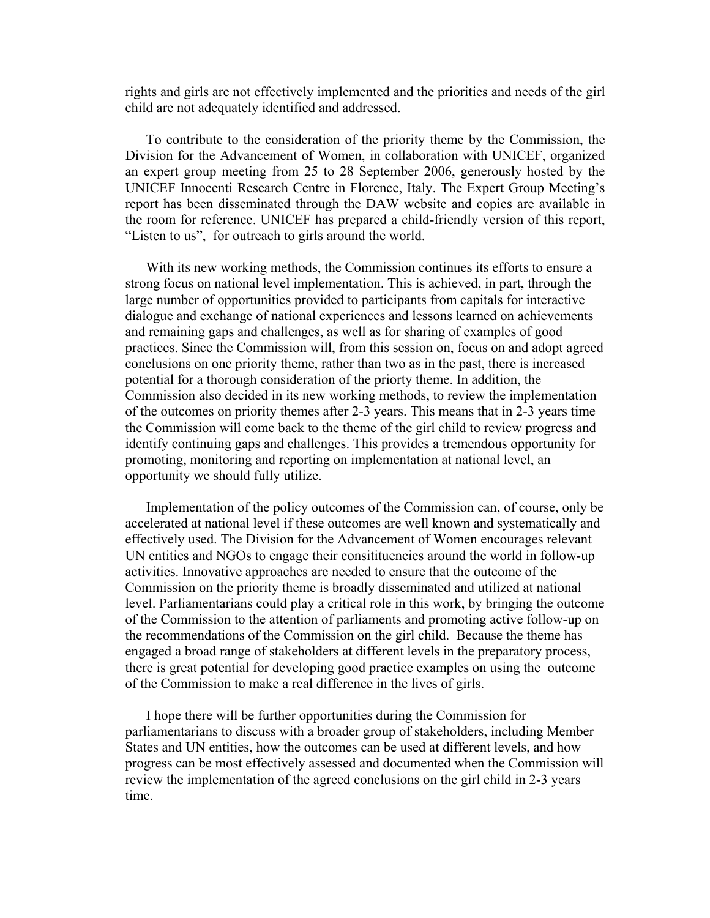rights and girls are not effectively implemented and the priorities and needs of the girl child are not adequately identified and addressed.

To contribute to the consideration of the priority theme by the Commission, the Division for the Advancement of Women, in collaboration with UNICEF, organized an expert group meeting from 25 to 28 September 2006, generously hosted by the UNICEF Innocenti Research Centre in Florence, Italy. The Expert Group Meeting's report has been disseminated through the DAW website and copies are available in the room for reference. UNICEF has prepared a child-friendly version of this report, "Listen to us", for outreach to girls around the world.

With its new working methods, the Commission continues its efforts to ensure a strong focus on national level implementation. This is achieved, in part, through the large number of opportunities provided to participants from capitals for interactive dialogue and exchange of national experiences and lessons learned on achievements and remaining gaps and challenges, as well as for sharing of examples of good practices. Since the Commission will, from this session on, focus on and adopt agreed conclusions on one priority theme, rather than two as in the past, there is increased potential for a thorough consideration of the priorty theme. In addition, the Commission also decided in its new working methods, to review the implementation of the outcomes on priority themes after 2-3 years. This means that in 2-3 years time the Commission will come back to the theme of the girl child to review progress and identify continuing gaps and challenges. This provides a tremendous opportunity for promoting, monitoring and reporting on implementation at national level, an opportunity we should fully utilize.

Implementation of the policy outcomes of the Commission can, of course, only be accelerated at national level if these outcomes are well known and systematically and effectively used. The Division for the Advancement of Women encourages relevant UN entities and NGOs to engage their consitituencies around the world in follow-up activities. Innovative approaches are needed to ensure that the outcome of the Commission on the priority theme is broadly disseminated and utilized at national level. Parliamentarians could play a critical role in this work, by bringing the outcome of the Commission to the attention of parliaments and promoting active follow-up on the recommendations of the Commission on the girl child. Because the theme has engaged a broad range of stakeholders at different levels in the preparatory process, there is great potential for developing good practice examples on using the outcome of the Commission to make a real difference in the lives of girls.

I hope there will be further opportunities during the Commission for parliamentarians to discuss with a broader group of stakeholders, including Member States and UN entities, how the outcomes can be used at different levels, and how progress can be most effectively assessed and documented when the Commission will review the implementation of the agreed conclusions on the girl child in 2-3 years time.